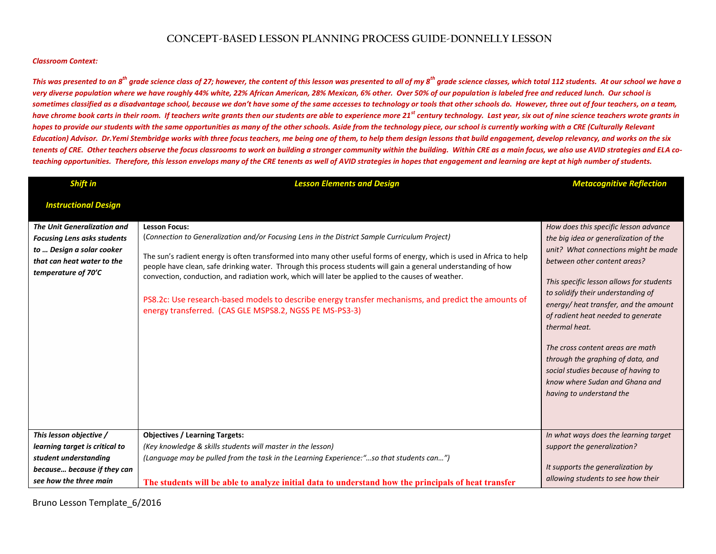## **CONCEPT-BASED LESSON PLANNING PROCESS GUIDE-DONNELLY LESSON**

## *Classroom Context:*

This was presented to an  $\mathbf{g}^{\text{th}}$  grade science class of 27; however, the content of this lesson was presented to all of my  $\mathbf{g}^{\text{th}}$  grade science classes, which total 112 students. At our school we have a *very diverse population where we have roughly 44% white, 22% African American, 28% Mexican, 6% other. Over 50% of our population is labeled free and reduced lunch. Our school is sometimes classified as a disadvantage school, because we don't have some of the same accesses to technology or tools that other schools do. However, three out of four teachers, on a team,*  have chrome book carts in their room. If teachers write grants then our students are able to experience more 21<sup>st</sup> century technology. Last year, six out of nine science teachers wrote grants in hopes to provide our students with the same opportunities as many of the other schools. Aside from the technology piece, our school is currently working with a CRE (Culturally Relevant *Education) Advisor. Dr.Yemi Stembridge works with three focus teachers, me being one of them, to help them design lessons that build engagement, develop relevancy, and works on the six tenents of CRE. Other teachers observe the focus classrooms to work on building a stronger community within the building. Within CRE as a main focus, we also use AVID strategies and ELA coteaching opportunities. Therefore, this lesson envelops many of the CRE tenents as well of AVID strategies in hopes that engagement and learning are kept at high number of students.*

| Shift in                                                                                                                                                   | <b>Lesson Elements and Design</b>                                                                                                                                                                                                                                                                                                                                                                                                                                                                                                                                                                                                        | <b>Metacognitive Reflection</b>                                                                                                                                                                                                                                                                                                                                                                                                                                                                                       |
|------------------------------------------------------------------------------------------------------------------------------------------------------------|------------------------------------------------------------------------------------------------------------------------------------------------------------------------------------------------------------------------------------------------------------------------------------------------------------------------------------------------------------------------------------------------------------------------------------------------------------------------------------------------------------------------------------------------------------------------------------------------------------------------------------------|-----------------------------------------------------------------------------------------------------------------------------------------------------------------------------------------------------------------------------------------------------------------------------------------------------------------------------------------------------------------------------------------------------------------------------------------------------------------------------------------------------------------------|
| <b>Instructional Design</b>                                                                                                                                |                                                                                                                                                                                                                                                                                                                                                                                                                                                                                                                                                                                                                                          |                                                                                                                                                                                                                                                                                                                                                                                                                                                                                                                       |
| <b>The Unit Generalization and</b><br><b>Focusing Lens asks students</b><br>to  Design a solar cooker<br>that can heat water to the<br>temperature of 70'C | <b>Lesson Focus:</b><br>(Connection to Generalization and/or Focusing Lens in the District Sample Curriculum Project)<br>The sun's radient energy is often transformed into many other useful forms of energy, which is used in Africa to help<br>people have clean, safe drinking water. Through this process students will gain a general understanding of how<br>convection, conduction, and radiation work, which will later be applied to the causes of weather.<br>PS8.2c: Use research-based models to describe energy transfer mechanisms, and predict the amounts of<br>energy transferred. (CAS GLE MSPS8.2, NGSS PE MS-PS3-3) | How does this specific lesson advance<br>the big idea or generalization of the<br>unit? What connections might be made<br>between other content areas?<br>This specific lesson allows for students<br>to solidify their understanding of<br>energy/heat transfer, and the amount<br>of radient heat needed to generate<br>thermal heat.<br>The cross content areas are math<br>through the graphing of data, and<br>social studies because of having to<br>know where Sudan and Ghana and<br>having to understand the |
| This lesson objective /                                                                                                                                    | <b>Objectives / Learning Targets:</b>                                                                                                                                                                                                                                                                                                                                                                                                                                                                                                                                                                                                    | In what ways does the learning target                                                                                                                                                                                                                                                                                                                                                                                                                                                                                 |
| learning target is critical to                                                                                                                             | (Key knowledge & skills students will master in the lesson)                                                                                                                                                                                                                                                                                                                                                                                                                                                                                                                                                                              | support the generalization?                                                                                                                                                                                                                                                                                                                                                                                                                                                                                           |
| student understanding                                                                                                                                      | (Language may be pulled from the task in the Learning Experience:"so that students can")                                                                                                                                                                                                                                                                                                                                                                                                                                                                                                                                                 |                                                                                                                                                                                                                                                                                                                                                                                                                                                                                                                       |
| because because if they can                                                                                                                                |                                                                                                                                                                                                                                                                                                                                                                                                                                                                                                                                                                                                                                          | It supports the generalization by                                                                                                                                                                                                                                                                                                                                                                                                                                                                                     |
| see how the three main                                                                                                                                     | The students will be able to analyze initial data to understand how the principals of heat transfer                                                                                                                                                                                                                                                                                                                                                                                                                                                                                                                                      | allowing students to see how their                                                                                                                                                                                                                                                                                                                                                                                                                                                                                    |

Bruno Lesson Template\_6/2016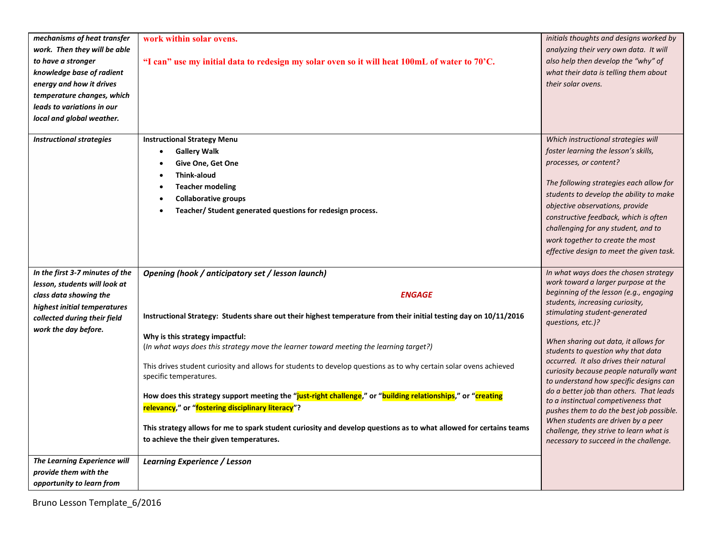| mechanisms of heat transfer                        | work within solar ovens.                                                                                           | initials thoughts and designs worked by                                           |
|----------------------------------------------------|--------------------------------------------------------------------------------------------------------------------|-----------------------------------------------------------------------------------|
| work. Then they will be able                       |                                                                                                                    | analyzing their very own data. It will                                            |
| to have a stronger                                 | "I can" use my initial data to redesign my solar oven so it will heat 100mL of water to 70'C.                      | also help then develop the "why" of                                               |
| knowledge base of radient                          |                                                                                                                    | what their data is telling them about                                             |
|                                                    |                                                                                                                    |                                                                                   |
| energy and how it drives                           |                                                                                                                    | their solar ovens.                                                                |
| temperature changes, which                         |                                                                                                                    |                                                                                   |
| leads to variations in our                         |                                                                                                                    |                                                                                   |
| local and global weather.                          |                                                                                                                    |                                                                                   |
| <b>Instructional strategies</b>                    | <b>Instructional Strategy Menu</b>                                                                                 | Which instructional strategies will                                               |
|                                                    | <b>Gallery Walk</b><br>$\bullet$                                                                                   | foster learning the lesson's skills,                                              |
|                                                    | Give One, Get One                                                                                                  | processes, or content?                                                            |
|                                                    | <b>Think-aloud</b>                                                                                                 |                                                                                   |
|                                                    | <b>Teacher modeling</b>                                                                                            | The following strategies each allow for                                           |
|                                                    | <b>Collaborative groups</b>                                                                                        | students to develop the ability to make                                           |
|                                                    | Teacher/Student generated questions for redesign process.                                                          | objective observations, provide                                                   |
|                                                    |                                                                                                                    | constructive feedback, which is often                                             |
|                                                    |                                                                                                                    | challenging for any student, and to                                               |
|                                                    |                                                                                                                    | work together to create the most                                                  |
|                                                    |                                                                                                                    | effective design to meet the given task.                                          |
|                                                    |                                                                                                                    |                                                                                   |
| In the first 3-7 minutes of the                    | Opening (hook / anticipatory set / lesson launch)                                                                  | In what ways does the chosen strategy                                             |
| lesson, students will look at                      |                                                                                                                    | work toward a larger purpose at the                                               |
| class data showing the                             | <b>ENGAGE</b>                                                                                                      | beginning of the lesson (e.g., engaging                                           |
| highest initial temperatures                       |                                                                                                                    | students, increasing curiosity,                                                   |
| collected during their field                       | Instructional Strategy: Students share out their highest temperature from their initial testing day on 10/11/2016  | stimulating student-generated<br>questions, etc.)?                                |
| work the day before.                               |                                                                                                                    |                                                                                   |
|                                                    | Why is this strategy impactful:                                                                                    | When sharing out data, it allows for                                              |
|                                                    | (In what ways does this strategy move the learner toward meeting the learning target?)                             | students to question why that data                                                |
|                                                    | This drives student curiosity and allows for students to develop questions as to why certain solar ovens achieved  | occurred. It also drives their natural                                            |
|                                                    | specific temperatures.                                                                                             | curiosity because people naturally want                                           |
|                                                    |                                                                                                                    | to understand how specific designs can<br>do a better job than others. That leads |
|                                                    | How does this strategy support meeting the "just-right challenge," or "building relationships," or "creating       | to a instinctual competiveness that                                               |
|                                                    | relevancy," or "fostering disciplinary literacy"?                                                                  | pushes them to do the best job possible.                                          |
|                                                    |                                                                                                                    | When students are driven by a peer                                                |
|                                                    | This strategy allows for me to spark student curiosity and develop questions as to what allowed for certains teams | challenge, they strive to learn what is                                           |
|                                                    | to achieve the their given temperatures.                                                                           | necessary to succeed in the challenge.                                            |
|                                                    |                                                                                                                    |                                                                                   |
| <b>The Learning Experience will</b>                | Learning Experience / Lesson                                                                                       |                                                                                   |
| provide them with the<br>opportunity to learn from |                                                                                                                    |                                                                                   |
|                                                    |                                                                                                                    |                                                                                   |

Bruno Lesson Template\_6/2016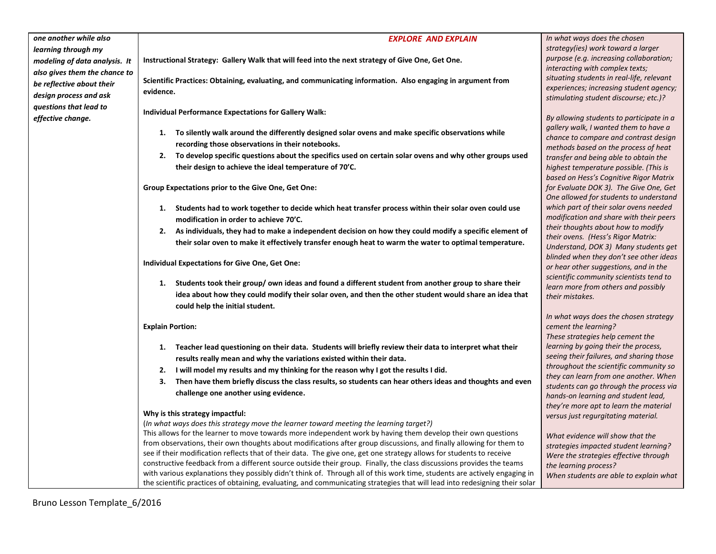| one another while also        | <b>EXPLORE AND EXPLAIN</b>                                                                                                                                                                             | In what ways does the chosen                                                   |
|-------------------------------|--------------------------------------------------------------------------------------------------------------------------------------------------------------------------------------------------------|--------------------------------------------------------------------------------|
| learning through my           |                                                                                                                                                                                                        | strategy(ies) work toward a larger                                             |
| modeling of data analysis. It | Instructional Strategy: Gallery Walk that will feed into the next strategy of Give One, Get One.                                                                                                       | purpose (e.g. increasing collaboration;                                        |
| also gives them the chance to |                                                                                                                                                                                                        | interacting with complex texts;                                                |
| be reflective about their     | Scientific Practices: Obtaining, evaluating, and communicating information. Also engaging in argument from                                                                                             | situating students in real-life, relevant                                      |
| design process and ask        | evidence.                                                                                                                                                                                              | experiences; increasing student agency;                                        |
| questions that lead to        |                                                                                                                                                                                                        | stimulating student discourse; etc.)?                                          |
| effective change.             | <b>Individual Performance Expectations for Gallery Walk:</b>                                                                                                                                           | By allowing students to participate in a                                       |
|                               |                                                                                                                                                                                                        | gallery walk, I wanted them to have a                                          |
|                               | 1. To silently walk around the differently designed solar ovens and make specific observations while                                                                                                   | chance to compare and contrast design                                          |
|                               | recording those observations in their notebooks.                                                                                                                                                       | methods based on the process of heat                                           |
|                               | 2. To develop specific questions about the specifics used on certain solar ovens and why other groups used                                                                                             | transfer and being able to obtain the                                          |
|                               | their design to achieve the ideal temperature of 70'C.                                                                                                                                                 | highest temperature possible. (This is                                         |
|                               |                                                                                                                                                                                                        | based on Hess's Cognitive Rigor Matrix                                         |
|                               | Group Expectations prior to the Give One, Get One:                                                                                                                                                     | for Evaluate DOK 3). The Give One, Get                                         |
|                               |                                                                                                                                                                                                        | One allowed for students to understand                                         |
|                               | 1. Students had to work together to decide which heat transfer process within their solar oven could use                                                                                               | which part of their solar ovens needed                                         |
|                               | modification in order to achieve 70'C.                                                                                                                                                                 | modification and share with their peers                                        |
|                               | 2. As individuals, they had to make a independent decision on how they could modify a specific element of                                                                                              | their thoughts about how to modify<br>their ovens. (Hess's Rigor Matrix:       |
|                               | their solar oven to make it effectively transfer enough heat to warm the water to optimal temperature.                                                                                                 | Understand, DOK 3) Many students get                                           |
|                               |                                                                                                                                                                                                        | blinded when they don't see other ideas                                        |
|                               | <b>Individual Expectations for Give One, Get One:</b>                                                                                                                                                  | or hear other suggestions, and in the                                          |
|                               |                                                                                                                                                                                                        | scientific community scientists tend to                                        |
|                               | 1. Students took their group/own ideas and found a different student from another group to share their                                                                                                 | learn more from others and possibly                                            |
|                               | idea about how they could modify their solar oven, and then the other student would share an idea that                                                                                                 | their mistakes.                                                                |
|                               | could help the initial student.                                                                                                                                                                        |                                                                                |
|                               |                                                                                                                                                                                                        | In what ways does the chosen strategy                                          |
|                               | <b>Explain Portion:</b>                                                                                                                                                                                | cement the learning?                                                           |
|                               |                                                                                                                                                                                                        | These strategies help cement the<br>learning by going their the process,       |
|                               | Teacher lead questioning on their data. Students will briefly review their data to interpret what their<br>1.                                                                                          | seeing their failures, and sharing those                                       |
|                               | results really mean and why the variations existed within their data.                                                                                                                                  | throughout the scientific community so                                         |
|                               | 2. I will model my results and my thinking for the reason why I got the results I did.                                                                                                                 | they can learn from one another. When                                          |
|                               | Then have them briefly discuss the class results, so students can hear others ideas and thoughts and even<br>3.                                                                                        | students can go through the process via                                        |
|                               | challenge one another using evidence.                                                                                                                                                                  | hands-on learning and student lead,                                            |
|                               |                                                                                                                                                                                                        | they're more apt to learn the material                                         |
|                               | Why is this strategy impactful:                                                                                                                                                                        | versus just regurgitating material.                                            |
|                               | (In what ways does this strategy move the learner toward meeting the learning target?)<br>This allows for the learner to move towards more independent work by having them develop their own questions |                                                                                |
|                               | from observations, their own thoughts about modifications after group discussions, and finally allowing for them to                                                                                    | What evidence will show that the                                               |
|                               | see if their modification reflects that of their data. The give one, get one strategy allows for students to receive                                                                                   | strategies impacted student learning?<br>Were the strategies effective through |
|                               | constructive feedback from a different source outside their group. Finally, the class discussions provides the teams                                                                                   | the learning process?                                                          |
|                               | with various explanations they possibly didn't think of. Through all of this work time, students are actively engaging in                                                                              | When students are able to explain what                                         |
|                               | the scientific practices of obtaining, evaluating, and communicating strategies that will lead into redesigning their solar                                                                            |                                                                                |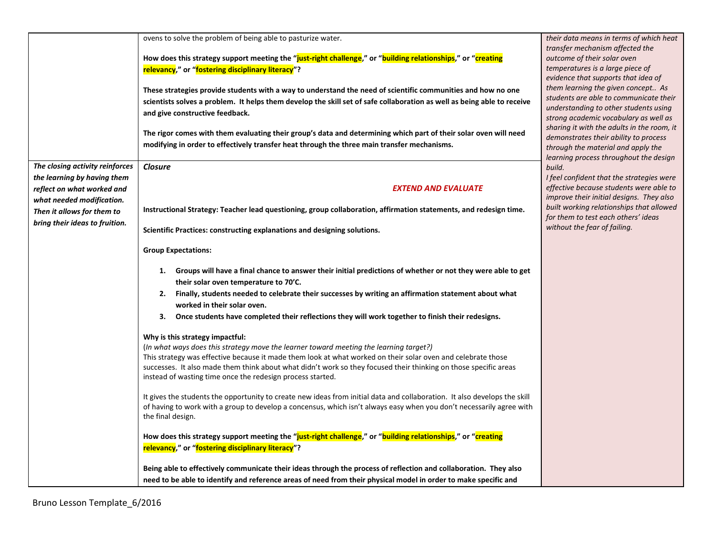| The closing activity reinforces<br>the learning by having them<br>reflect on what worked and<br>what needed modification.<br>Then it allows for them to<br>bring their ideas to fruition. | ovens to solve the problem of being able to pasturize water.<br>How does this strategy support meeting the "just-right challenge," or "building relationships," or "creating<br>relevancy," or "fostering disciplinary literacy"?<br>These strategies provide students with a way to understand the need of scientific communities and how no one<br>scientists solves a problem. It helps them develop the skill set of safe collaboration as well as being able to receive<br>and give constructive feedback.<br>The rigor comes with them evaluating their group's data and determining which part of their solar oven will need<br>modifying in order to effectively transfer heat through the three main transfer mechanisms.<br><b>Closure</b><br><b>EXTEND AND EVALUATE</b><br>Instructional Strategy: Teacher lead questioning, group collaboration, affirmation statements, and redesign time.<br>Scientific Practices: constructing explanations and designing solutions.                                                                                                                                                                                                                                                                                                                                         | their data means in terms of which heat<br>transfer mechanism affected the<br>outcome of their solar oven<br>temperatures is a large piece of<br>evidence that supports that idea of<br>them learning the given concept As<br>students are able to communicate their<br>understanding to other students using<br>strong academic vocabulary as well as<br>sharing it with the adults in the room, it<br>demonstrates their ability to process<br>through the material and apply the<br>learning process throughout the design<br>build.<br>I feel confident that the strategies were<br>effective because students were able to<br>improve their initial designs. They also<br>built working relationships that allowed<br>for them to test each others' ideas<br>without the fear of failing. |
|-------------------------------------------------------------------------------------------------------------------------------------------------------------------------------------------|-----------------------------------------------------------------------------------------------------------------------------------------------------------------------------------------------------------------------------------------------------------------------------------------------------------------------------------------------------------------------------------------------------------------------------------------------------------------------------------------------------------------------------------------------------------------------------------------------------------------------------------------------------------------------------------------------------------------------------------------------------------------------------------------------------------------------------------------------------------------------------------------------------------------------------------------------------------------------------------------------------------------------------------------------------------------------------------------------------------------------------------------------------------------------------------------------------------------------------------------------------------------------------------------------------------------------------|------------------------------------------------------------------------------------------------------------------------------------------------------------------------------------------------------------------------------------------------------------------------------------------------------------------------------------------------------------------------------------------------------------------------------------------------------------------------------------------------------------------------------------------------------------------------------------------------------------------------------------------------------------------------------------------------------------------------------------------------------------------------------------------------|
|                                                                                                                                                                                           | <b>Group Expectations:</b><br>1. Groups will have a final chance to answer their initial predictions of whether or not they were able to get<br>their solar oven temperature to 70'C.<br>Finally, students needed to celebrate their successes by writing an affirmation statement about what<br>2.<br>worked in their solar oven.<br>Once students have completed their reflections they will work together to finish their redesigns.<br>3.<br>Why is this strategy impactful:<br>(In what ways does this strategy move the learner toward meeting the learning target?)<br>This strategy was effective because it made them look at what worked on their solar oven and celebrate those<br>successes. It also made them think about what didn't work so they focused their thinking on those specific areas<br>instead of wasting time once the redesign process started.<br>It gives the students the opportunity to create new ideas from initial data and collaboration. It also develops the skill<br>of having to work with a group to develop a concensus, which isn't always easy when you don't necessarily agree with<br>the final design.<br>How does this strategy support meeting the "just-right challenge," or "building relationships," or "creating<br>relevancy," or "fostering disciplinary literacy"? |                                                                                                                                                                                                                                                                                                                                                                                                                                                                                                                                                                                                                                                                                                                                                                                                |
|                                                                                                                                                                                           | Being able to effectively communicate their ideas through the process of reflection and collaboration. They also<br>need to be able to identify and reference areas of need from their physical model in order to make specific and                                                                                                                                                                                                                                                                                                                                                                                                                                                                                                                                                                                                                                                                                                                                                                                                                                                                                                                                                                                                                                                                                         |                                                                                                                                                                                                                                                                                                                                                                                                                                                                                                                                                                                                                                                                                                                                                                                                |

Bruno Lesson Template\_6/2016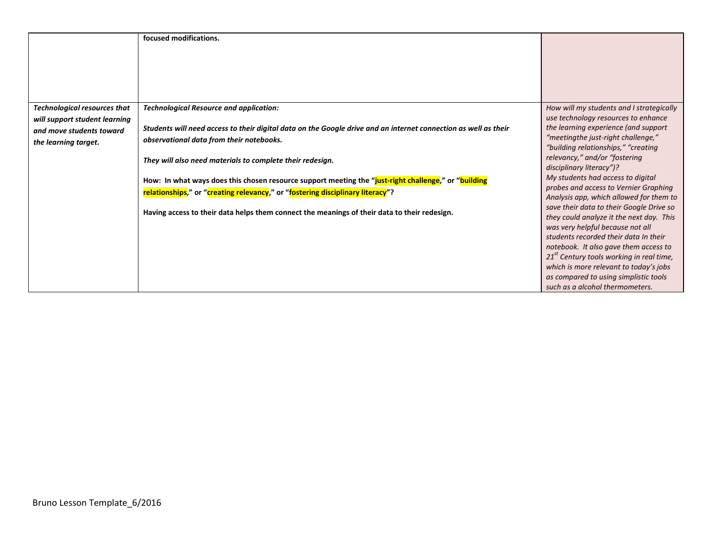|                                     | focused modifications.                                                                                                                                                                 |                                                                                                                       |
|-------------------------------------|----------------------------------------------------------------------------------------------------------------------------------------------------------------------------------------|-----------------------------------------------------------------------------------------------------------------------|
|                                     |                                                                                                                                                                                        |                                                                                                                       |
| <b>Technological resources that</b> | <b>Technological Resource and application:</b>                                                                                                                                         | How will my students and I strategically                                                                              |
| will support student learning       |                                                                                                                                                                                        | use technology resources to enhance                                                                                   |
| and move students toward            | Students will need access to their digital data on the Google drive and an internet connection as well as their                                                                        | the learning experience (and support                                                                                  |
| the learning target.                | observational data from their notebooks.                                                                                                                                               | "meetingthe just-right challenge,"                                                                                    |
|                                     | They will also need materials to complete their redesign.                                                                                                                              | "building relationships," "creating<br>relevancy," and/or "fostering<br>disciplinary literacy")?                      |
|                                     | How: In what ways does this chosen resource support meeting the "just-right challenge," or "building<br>relationships," or "creating relevancy," or "fostering disciplinary literacy"? | My students had access to digital<br>probes and access to Vernier Graphing<br>Analysis app, which allowed for them to |
|                                     | Having access to their data helps them connect the meanings of their data to their redesign.                                                                                           | save their data to their Google Drive so<br>they could analyze it the next day. This                                  |
|                                     |                                                                                                                                                                                        | was very helpful because not all<br>students recorded their data In their                                             |
|                                     |                                                                                                                                                                                        | notebook. It also gave them access to                                                                                 |
|                                     |                                                                                                                                                                                        | $21st$ Century tools working in real time,                                                                            |
|                                     |                                                                                                                                                                                        | which is more relevant to today's jobs                                                                                |
|                                     |                                                                                                                                                                                        | as compared to using simplistic tools                                                                                 |
|                                     |                                                                                                                                                                                        | such as a alcohol thermometers.                                                                                       |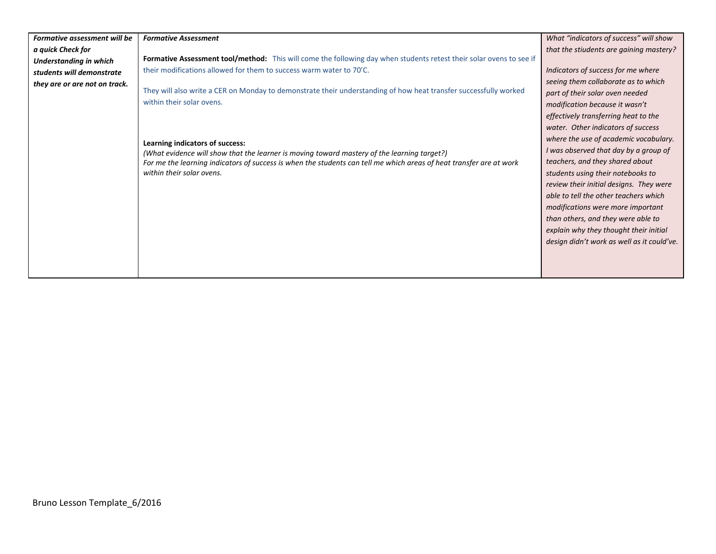| Formative assessment will be  | <b>Formative Assessment</b>                                                                                         | What "indicators of success" will show     |
|-------------------------------|---------------------------------------------------------------------------------------------------------------------|--------------------------------------------|
|                               |                                                                                                                     |                                            |
| a quick Check for             |                                                                                                                     | that the stiudents are gaining mastery?    |
| <b>Understanding in which</b> | Formative Assessment tool/method: This will come the following day when students retest their solar ovens to see if |                                            |
| students will demonstrate     | their modifications allowed for them to success warm water to 70'C.                                                 | Indicators of success for me where         |
| they are or are not on track. |                                                                                                                     | seeing them collaborate as to which        |
|                               | They will also write a CER on Monday to demonstrate their understanding of how heat transfer successfully worked    | part of their solar oven needed            |
|                               | within their solar ovens.                                                                                           | modification because it wasn't             |
|                               |                                                                                                                     | effectively transferring heat to the       |
|                               |                                                                                                                     | water. Other indicators of success         |
|                               | Learning indicators of success:                                                                                     | where the use of academic vocabulary.      |
|                               | (What evidence will show that the learner is moving toward mastery of the learning target?)                         | I was observed that day by a group of      |
|                               | For me the learning indicators of success is when the students can tell me which areas of heat transfer are at work | teachers, and they shared about            |
|                               | within their solar ovens.                                                                                           | students using their notebooks to          |
|                               |                                                                                                                     | review their initial designs. They were    |
|                               |                                                                                                                     | able to tell the other teachers which      |
|                               |                                                                                                                     | modifications were more important          |
|                               |                                                                                                                     | than others, and they were able to         |
|                               |                                                                                                                     | explain why they thought their initial     |
|                               |                                                                                                                     | design didn't work as well as it could've. |
|                               |                                                                                                                     |                                            |
|                               |                                                                                                                     |                                            |
|                               |                                                                                                                     |                                            |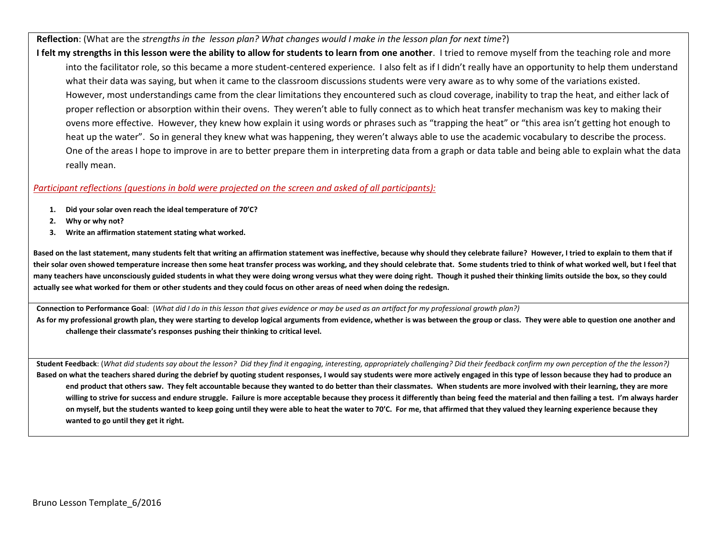**Reflection**: (What are the *strengths in the lesson plan? What changes would I make in the lesson plan for next time*?)

**I felt my strengths in this lesson were the ability to allow for students to learn from one another**. I tried to remove myself from the teaching role and more into the facilitator role, so this became a more student-centered experience. I also felt as if I didn't really have an opportunity to help them understand what their data was saying, but when it came to the classroom discussions students were very aware as to why some of the variations existed. However, most understandings came from the clear limitations they encountered such as cloud coverage, inability to trap the heat, and either lack of proper reflection or absorption within their ovens. They weren't able to fully connect as to which heat transfer mechanism was key to making their ovens more effective. However, they knew how explain it using words or phrases such as "trapping the heat" or "this area isn't getting hot enough to heat up the water". So in general they knew what was happening, they weren't always able to use the academic vocabulary to describe the process. One of the areas I hope to improve in are to better prepare them in interpreting data from a graph or data table and being able to explain what the data really mean.

## *Participant reflections (questions in bold were projected on the screen and asked of all participants):*

- **1. Did your solar oven reach the ideal temperature of 70'C?**
- **2. Why or why not?**
- **3. Write an affirmation statement stating what worked.**

**Based on the last statement, many students felt that writing an affirmation statement was ineffective, because why should they celebrate failure? However, I tried to explain to them that if their solar oven showed temperature increase then some heat transfer process was working, and they should celebrate that. Some students tried to think of what worked well, but I feel that many teachers have unconsciously guided students in what they were doing wrong versus what they were doing right. Though it pushed their thinking limits outside the box, so they could actually see what worked for them or other students and they could focus on other areas of need when doing the redesign.** 

**Connection to Performance Goal**: (*What did I do in this lesson that gives evidence or may be used as an artifact for my professional growth plan?)*

As for my professional growth plan, they were starting to develop logical arguments from evidence, whether is was between the group or class. They were able to question one another and **challenge their classmate's responses pushing their thinking to critical level.**

**Student Feedback**: (*What did students say about the lesson? Did they find it engaging, interesting, appropriately challenging? Did their feedback confirm my own perception of the the lesson?)* Based on what the teachers shared during the debrief by quoting student responses, I would say students were more actively engaged in this type of lesson because they had to produce an **end product that others saw. They felt accountable because they wanted to do better than their classmates. When students are more involved with their learning, they are more willing to strive for success and endure struggle. Failure is more acceptable because they process it differently than being feed the material and then failing a test. I'm always harder on myself, but the students wanted to keep going until they were able to heat the water to 70'C. For me, that affirmed that they valued they learning experience because they wanted to go until they get it right.**